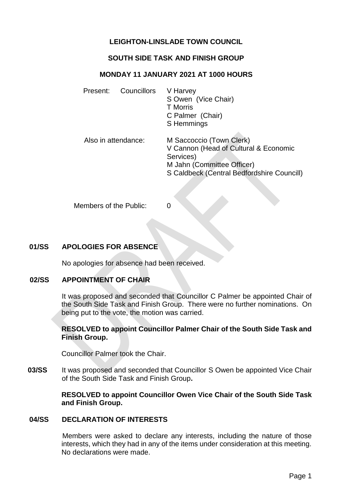# **LEIGHTON-LINSLADE TOWN COUNCIL**

# **SOUTH SIDE TASK AND FINISH GROUP**

### **MONDAY 11 JANUARY 2021 AT 1000 HOURS**

| Present: | Councillors         | V Harvey<br>S Owen (Vice Chair)<br><b>T</b> Morris<br>C Palmer (Chair)<br>S Hemmings                                                                       |
|----------|---------------------|------------------------------------------------------------------------------------------------------------------------------------------------------------|
|          | Also in attendance: | M Saccoccio (Town Clerk)<br>V Cannon (Head of Cultural & Economic<br>Services)<br>M Jahn (Committee Officer)<br>S Caldbeck (Central Bedfordshire Councill) |

Members of the Public: 0

# **01/SS APOLOGIES FOR ABSENCE**

No apologies for absence had been received.

## **02/SS APPOINTMENT OF CHAIR**

It was proposed and seconded that Councillor C Palmer be appointed Chair of the South Side Task and Finish Group. There were no further nominations. On being put to the vote, the motion was carried.

#### **RESOLVED to appoint Councillor Palmer Chair of the South Side Task and Finish Group.**

Councillor Palmer took the Chair.

**03/SS** It was proposed and seconded that Councillor S Owen be appointed Vice Chair of the South Side Task and Finish Group**.**

## **RESOLVED to appoint Councillor Owen Vice Chair of the South Side Task and Finish Group.**

#### **04/SS DECLARATION OF INTERESTS**

Members were asked to declare any interests, including the nature of those interests, which they had in any of the items under consideration at this meeting. No declarations were made.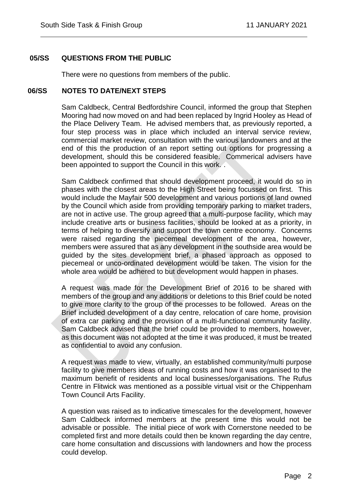# **05/SS QUESTIONS FROM THE PUBLIC**

There were no questions from members of the public.

 $\overline{a}$ 

### **06/SS NOTES TO DATE/NEXT STEPS**

Sam Caldbeck, Central Bedfordshire Council, informed the group that Stephen Mooring had now moved on and had been replaced by Ingrid Hooley as Head of the Place Delivery Team. He advised members that, as previously reported, a four step process was in place which included an interval service review, commercial market review, consultation with the various landowners and at the end of this the production of an report setting out options for progressing a development, should this be considered feasible. Commerical advisers have been appointed to support the Council in this work.

Sam Caldbeck confirmed that should development proceed, it would do so in phases with the closest areas to the High Street being focussed on first. This would include the Mayfair 500 development and various portions of land owned by the Council which aside from providing temporary parking to market traders, are not in active use. The group agreed that a multi-purpose facility, which may include creative arts or business facilities, should be looked at as a priority, in terms of helping to diversify and support the town centre economy. Concerns were raised regarding the piecemeal development of the area, however, members were assured that as any development in the southside area would be guided by the sites development brief, a phased approach as opposed to piecemeal or unco-ordinated development would be taken. The vision for the whole area would be adhered to but development would happen in phases.

A request was made for the Development Brief of 2016 to be shared with members of the group and any additions or deletions to this Brief could be noted to give more clarity to the group of the processes to be followed. Areas on the Brief included development of a day centre, relocation of care home, provision of extra car parking and the provision of a multi-functional community facility. Sam Caldbeck advised that the brief could be provided to members, however, as this document was not adopted at the time it was produced, it must be treated as confidential to avoid any confusion.

A request was made to view, virtually, an established community/multi purpose facility to give members ideas of running costs and how it was organised to the maximum benefit of residents and local businesses/organisations. The Rufus Centre in Flitwick was mentioned as a possible virtual visit or the Chippenham Town Council Arts Facility.

A question was raised as to indicative timescales for the development, however Sam Caldbeck informed members at the present time this would not be advisable or possible. The initial piece of work with Cornerstone needed to be completed first and more details could then be known regarding the day centre, care home consultation and discussions with landowners and how the process could develop.